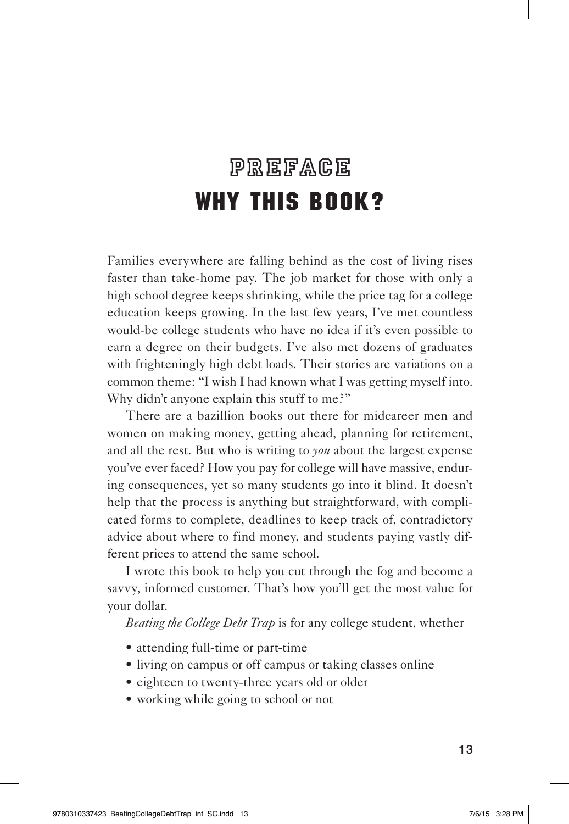# PREFACE Why This Book?

Families everywhere are falling behind as the cost of living rises faster than take-home pay. The job market for those with only a high school degree keeps shrinking, while the price tag for a college education keeps growing. In the last few years, I've met countless would-be college students who have no idea if it's even possible to earn a degree on their budgets. I've also met dozens of graduates with frighteningly high debt loads. Their stories are variations on a common theme: "I wish I had known what I was getting myself into. Why didn't anyone explain this stuff to me?"

There are a bazillion books out there for midcareer men and women on making money, getting ahead, planning for retirement, and all the rest. But who is writing to *you* about the largest expense you've ever faced? How you pay for college will have massive, enduring consequences, yet so many students go into it blind. It doesn't help that the process is anything but straightforward, with complicated forms to complete, deadlines to keep track of, contradictory advice about where to find money, and students paying vastly different prices to attend the same school.

I wrote this book to help you cut through the fog and become a savvy, informed customer. That's how you'll get the most value for your dollar.

*Beating the College Debt Trap* is for any college student, whether

- attending full-time or part-time
- living on campus or off campus or taking classes online
- eighteen to twenty-three years old or older
- working while going to school or not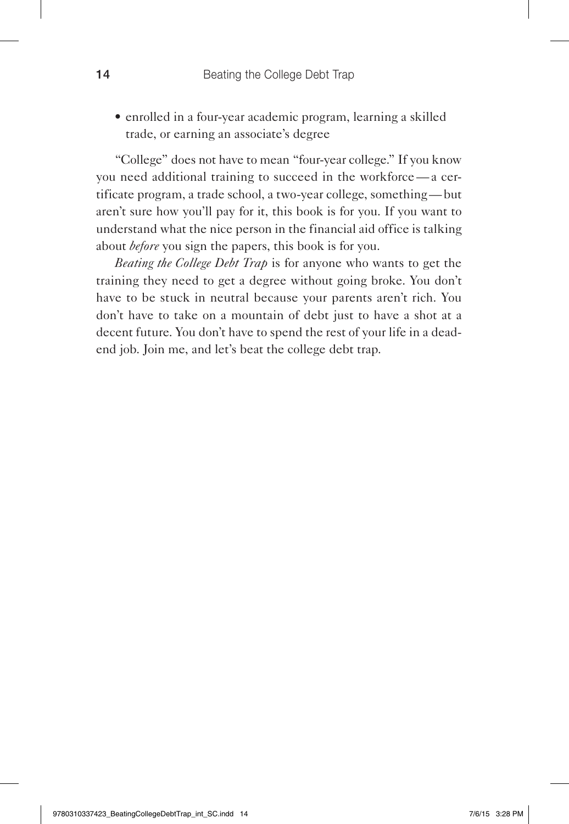• enrolled in a four-year academic program, learning a skilled trade, or earning an associate's degree

"College" does not have to mean "four-year college." If you know you need additional training to succeed in the workforce— a certificate program, a trade school, a two-year college, something— but aren't sure how you'll pay for it, this book is for you. If you want to understand what the nice person in the financial aid office is talking about *before* you sign the papers, this book is for you.

*Beating the College Debt Trap* is for anyone who wants to get the training they need to get a degree without going broke. You don't have to be stuck in neutral because your parents aren't rich. You don't have to take on a mountain of debt just to have a shot at a decent future. You don't have to spend the rest of your life in a deadend job. Join me, and let's beat the college debt trap.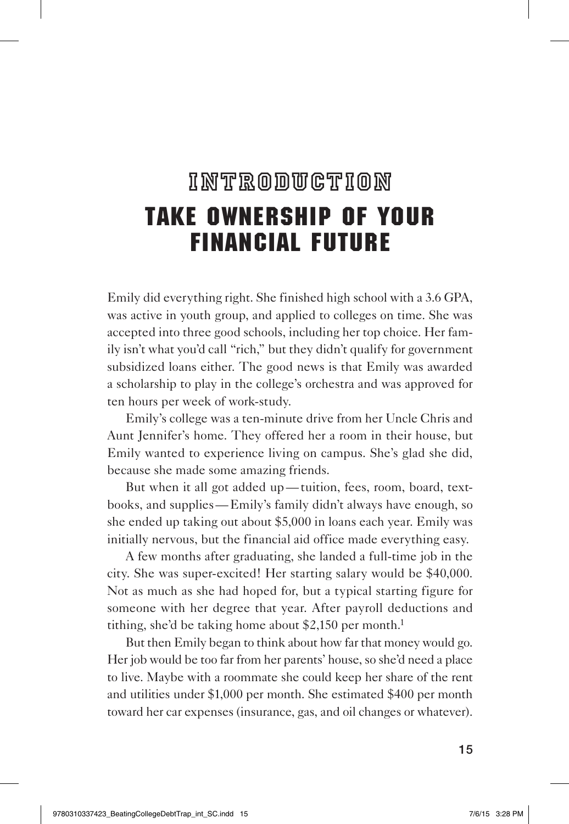## Introduction Take Ownership of Your Financial Future

Emily did everything right. She finished high school with a 3.6 GPA, was active in youth group, and applied to colleges on time. She was accepted into three good schools, including her top choice. Her family isn't what you'd call "rich," but they didn't qualify for government subsidized loans either. The good news is that Emily was awarded a scholarship to play in the college's orchestra and was approved for ten hours per week of work-study.

Emily's college was a ten-minute drive from her Uncle Chris and Aunt Jennifer's home. They offered her a room in their house, but Emily wanted to experience living on campus. She's glad she did, because she made some amazing friends.

But when it all got added up— tuition, fees, room, board, textbooks, and supplies— Emily's family didn't always have enough, so she ended up taking out about \$5,000 in loans each year. Emily was initially nervous, but the financial aid office made everything easy.

A few months after graduating, she landed a full-time job in the city. She was super-excited! Her starting salary would be \$40,000. Not as much as she had hoped for, but a typical starting figure for someone with her degree that year. After payroll deductions and tithing, she'd be taking home about \$2,150 per month.<sup>1</sup>

But then Emily began to think about how far that money would go. Her job would be too far from her parents' house, so she'd need a place to live. Maybe with a roommate she could keep her share of the rent and utilities under \$1,000 per month. She estimated \$400 per month toward her car expenses (insurance, gas, and oil changes or whatever).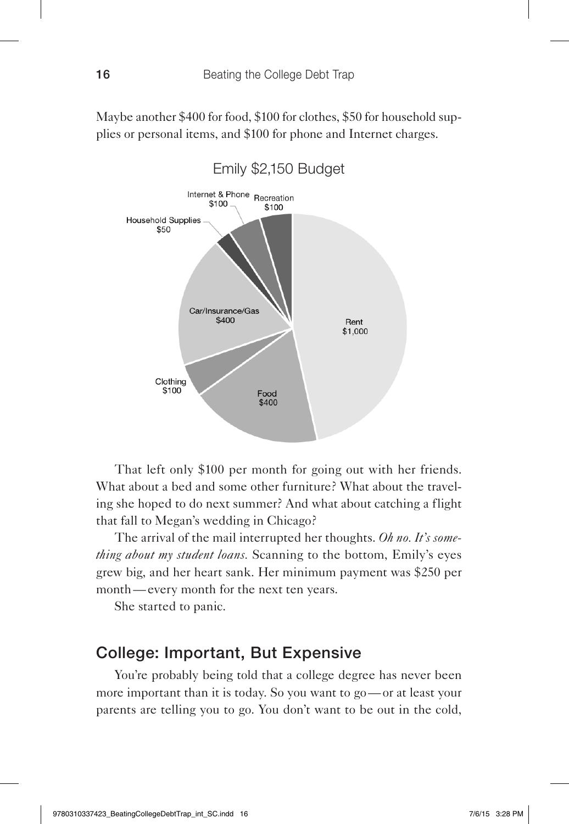Maybe another \$400 for food, \$100 for clothes, \$50 for household supplies or personal items, and \$100 for phone and Internet charges.



That left only \$100 per month for going out with her friends. What about a bed and some other furniture? What about the traveling she hoped to do next summer? And what about catching a flight that fall to Megan's wedding in Chicago?

The arrival of the mail interrupted her thoughts. *Oh no. It's something about my student loans.* Scanning to the bottom, Emily's eyes grew big, and her heart sank. Her minimum payment was \$250 per month—every month for the next ten years.

She started to panic.

## College: Important, But Expensive

You're probably being told that a college degree has never been more important than it is today. So you want to go— or at least your parents are telling you to go. You don't want to be out in the cold,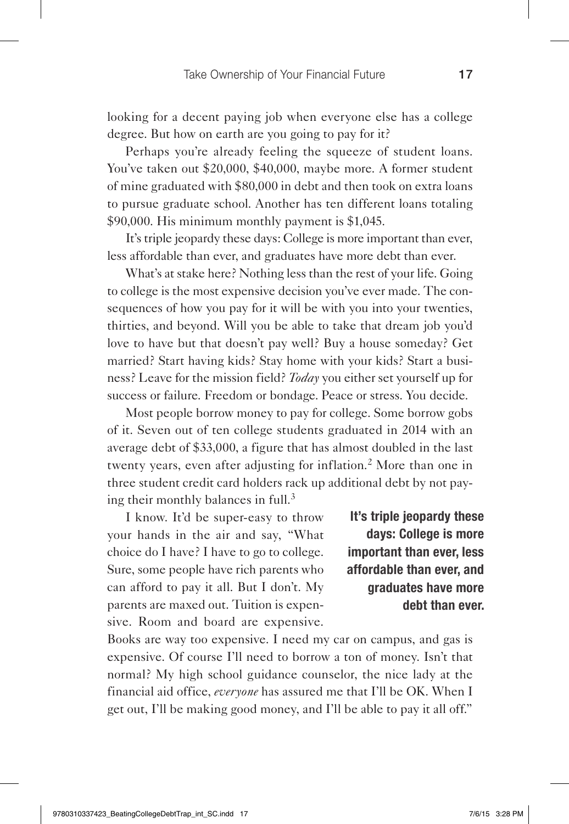looking for a decent paying job when everyone else has a college degree. But how on earth are you going to pay for it?

Perhaps you're already feeling the squeeze of student loans. You've taken out \$20,000, \$40,000, maybe more. A former student of mine graduated with \$80,000 in debt and then took on extra loans to pursue graduate school. Another has ten different loans totaling \$90,000. His minimum monthly payment is \$1,045.

It's triple jeopardy these days: College is more important than ever, less affordable than ever, and graduates have more debt than ever.

What's at stake here? Nothing less than the rest of your life. Going to college is the most expensive decision you've ever made. The consequences of how you pay for it will be with you into your twenties, thirties, and beyond. Will you be able to take that dream job you'd love to have but that doesn't pay well? Buy a house someday? Get married? Start having kids? Stay home with your kids? Start a business? Leave for the mission field? *Today* you either set yourself up for success or failure. Freedom or bondage. Peace or stress. You decide.

Most people borrow money to pay for college. Some borrow gobs of it. Seven out of ten college students graduated in 2014 with an average debt of \$33,000, a figure that has almost doubled in the last twenty years, even after adjusting for inflation.<sup>2</sup> More than one in three student credit card holders rack up additional debt by not paying their monthly balances in full.3

I know. It'd be super-easy to throw your hands in the air and say, "What choice do I have? I have to go to college. Sure, some people have rich parents who can afford to pay it all. But I don't. My parents are maxed out. Tuition is expensive. Room and board are expensive.

It's triple jeopardy these days: College is more important than ever, less affordable than ever, and graduates have more debt than ever.

Books are way too expensive. I need my car on campus, and gas is expensive. Of course I'll need to borrow a ton of money. Isn't that normal? My high school guidance counselor, the nice lady at the financial aid office, *everyone* has assured me that I'll be OK. When I get out, I'll be making good money, and I'll be able to pay it all off."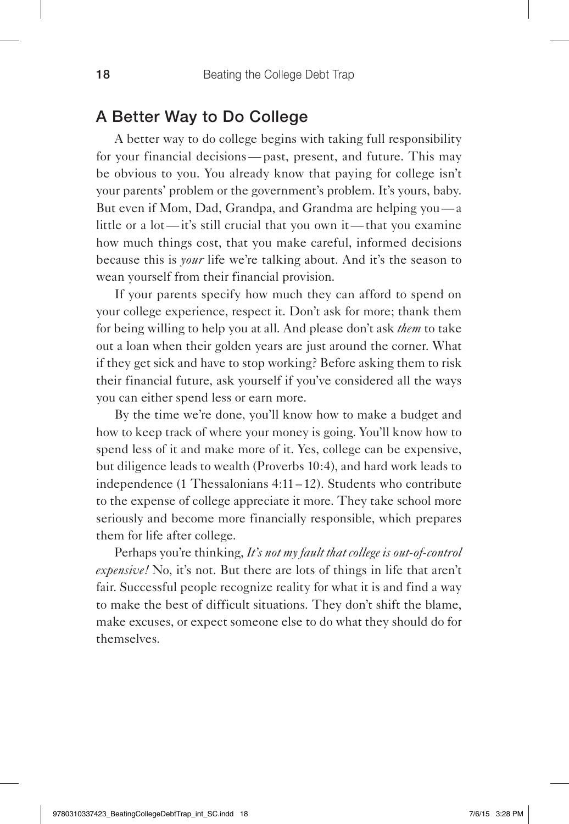## A Better Way to Do College

A better way to do college begins with taking full responsibility for your financial decisions— past, present, and future. This may be obvious to you. You already know that paying for college isn't your parents' problem or the government's problem. It's yours, baby. But even if Mom, Dad, Grandpa, and Grandma are helping you— a little or a lot— it's still crucial that you own it— that you examine how much things cost, that you make careful, informed decisions because this is *your* life we're talking about. And it's the season to wean yourself from their financial provision.

If your parents specify how much they can afford to spend on your college experience, respect it. Don't ask for more; thank them for being willing to help you at all. And please don't ask *them* to take out a loan when their golden years are just around the corner. What if they get sick and have to stop working? Before asking them to risk their financial future, ask yourself if you've considered all the ways you can either spend less or earn more.

By the time we're done, you'll know how to make a budget and how to keep track of where your money is going. You'll know how to spend less of it and make more of it. Yes, college can be expensive, but diligence leads to wealth (Proverbs 10:4), and hard work leads to independence (1 Thessalonians 4:11 –12). Students who contribute to the expense of college appreciate it more. They take school more seriously and become more financially responsible, which prepares them for life after college.

Perhaps you're thinking, *It's not my fault that college is out-of-control expensive!* No, it's not. But there are lots of things in life that aren't fair. Successful people recognize reality for what it is and find a way to make the best of difficult situations. They don't shift the blame, make excuses, or expect someone else to do what they should do for themselves.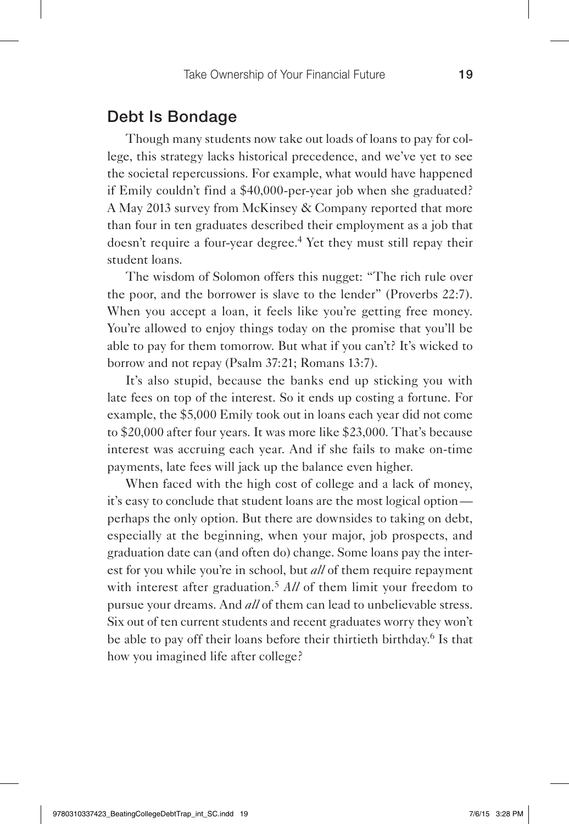## Debt Is Bondage

Though many students now take out loads of loans to pay for college, this strategy lacks historical precedence, and we've yet to see the societal repercussions. For example, what would have happened if Emily couldn't find a \$40,000-per-year job when she graduated? A May 2013 survey from McKinsey & Company reported that more than four in ten graduates described their employment as a job that doesn't require a four-year degree.<sup>4</sup> Yet they must still repay their student loans.

The wisdom of Solomon offers this nugget: "The rich rule over the poor, and the borrower is slave to the lender" (Proverbs 22:7). When you accept a loan, it feels like you're getting free money. You're allowed to enjoy things today on the promise that you'll be able to pay for them tomorrow. But what if you can't? It's wicked to borrow and not repay (Psalm 37:21; Romans 13:7).

It's also stupid, because the banks end up sticking you with late fees on top of the interest. So it ends up costing a fortune. For example, the \$5,000 Emily took out in loans each year did not come to \$20,000 after four years. It was more like \$23,000. That's because interest was accruing each year. And if she fails to make on-time payments, late fees will jack up the balance even higher.

When faced with the high cost of college and a lack of money, it's easy to conclude that student loans are the most logical option perhaps the only option. But there are downsides to taking on debt, especially at the beginning, when your major, job prospects, and graduation date can (and often do) change. Some loans pay the interest for you while you're in school, but *all* of them require repayment with interest after graduation.<sup>5</sup> *All* of them limit your freedom to pursue your dreams. And *all* of them can lead to unbelievable stress. Six out of ten current students and recent graduates worry they won't be able to pay off their loans before their thirtieth birthday.<sup>6</sup> Is that how you imagined life after college?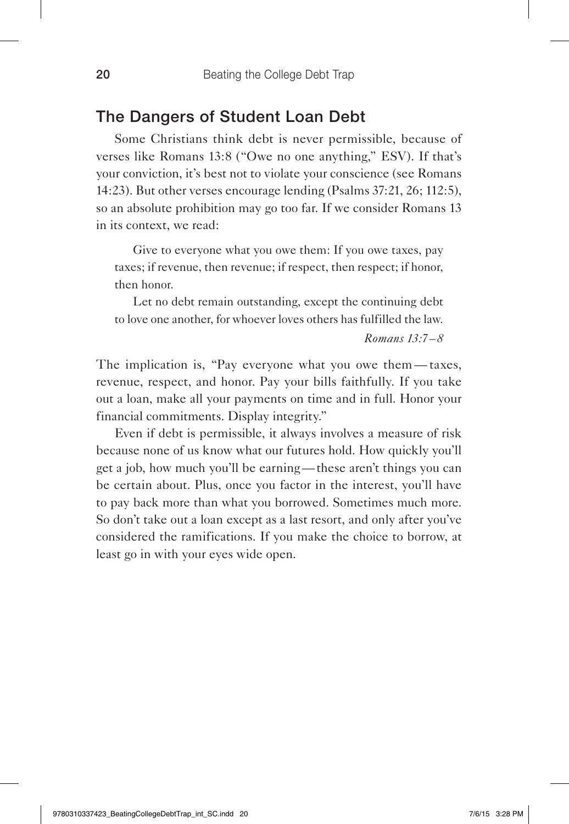## The Dangers of Student Loan Debt

Some Christians think debt is never permissible, because of verses like Romans 13:8 ("Owe no one anything," ESV). If that's your conviction, it's best not to violate your conscience (see Romans 14:23). But other verses encourage lending (Psalms 37:21, 26; 112:5), so an absolute prohibition may go too far. If we consider Romans 13 in its context, we read:

Give to everyone what you owe them: If you owe taxes, pay taxes; if revenue, then revenue; if respect, then respect; if honor, then honor.

Let no debt remain outstanding, except the continuing debt to love one another, for whoever loves others has fulfilled the law.

*Romans 13:7–8*

The implication is, "Pay everyone what you owe them— taxes, revenue, respect, and honor. Pay your bills faithfully. If you take out a loan, make all your payments on time and in full. Honor your financial commitments. Display integrity."

Even if debt is permissible, it always involves a measure of risk because none of us know what our futures hold. How quickly you'll get a job, how much you'll be earning— these aren't things you can be certain about. Plus, once you factor in the interest, you'll have to pay back more than what you borrowed. Sometimes much more. So don't take out a loan except as a last resort, and only after you've considered the ramifications. If you make the choice to borrow, at least go in with your eyes wide open.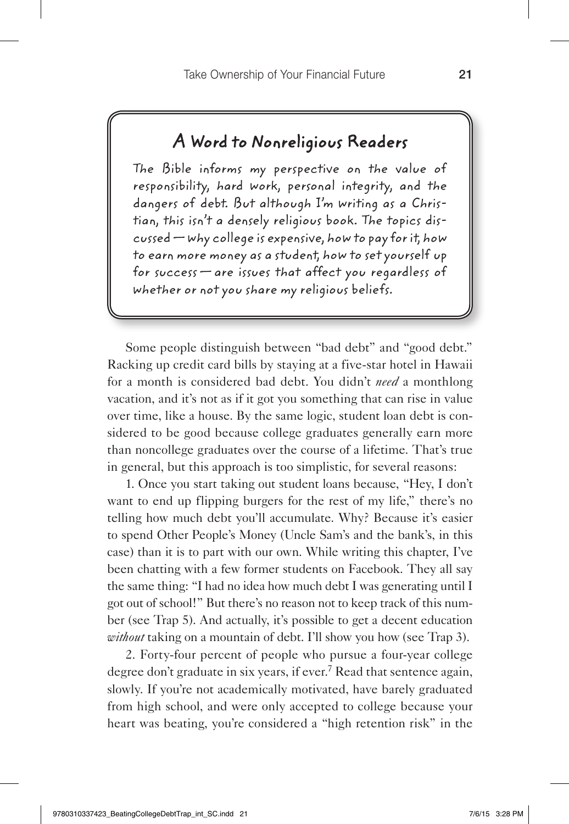## A Word to Nonreligious Readers

The Bible informs my perspective on the value of responsibility, hard work, personal integrity, and the dangers of debt. But although I'm writing as a Christian, this isn't a densely religious book. The topics discussed— why college is expensive, how to pay for it, how to earn more money as a student, how to set yourself up for success— are issues that affect you regardless of whether or not you share my religious beliefs.

Some people distinguish between "bad debt" and "good debt." Racking up credit card bills by staying at a five-star hotel in Hawaii for a month is considered bad debt. You didn't *need* a monthlong vacation, and it's not as if it got you something that can rise in value over time, like a house. By the same logic, student loan debt is considered to be good because college graduates generally earn more than noncollege graduates over the course of a lifetime. That's true in general, but this approach is too simplistic, for several reasons:

1. Once you start taking out student loans because, "Hey, I don't want to end up flipping burgers for the rest of my life," there's no telling how much debt you'll accumulate. Why? Because it's easier to spend Other People's Money (Uncle Sam's and the bank's, in this case) than it is to part with our own. While writing this chapter, I've been chatting with a few former students on Facebook. They all say the same thing: "I had no idea how much debt I was generating until I got out of school!" But there's no reason not to keep track of this number (see Trap 5). And actually, it's possible to get a decent education *without* taking on a mountain of debt. I'll show you how (see Trap 3).

2. Forty-four percent of people who pursue a four-year college degree don't graduate in six years, if ever.<sup>7</sup> Read that sentence again, slowly. If you're not academically motivated, have barely graduated from high school, and were only accepted to college because your heart was beating, you're considered a "high retention risk" in the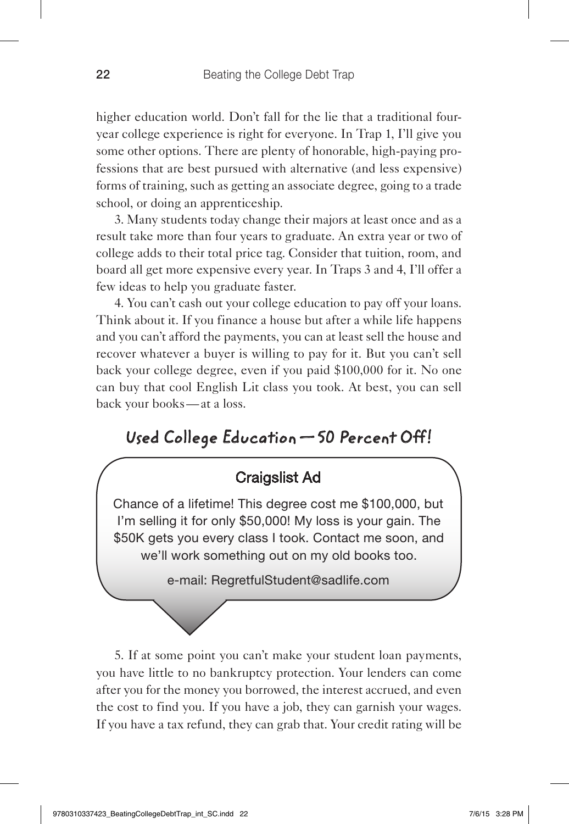higher education world. Don't fall for the lie that a traditional fouryear college experience is right for everyone. In Trap 1, I'll give you some other options. There are plenty of honorable, high-paying professions that are best pursued with alternative (and less expensive) forms of training, such as getting an associate degree, going to a trade school, or doing an apprenticeship.

3. Many students today change their majors at least once and as a result take more than four years to graduate. An extra year or two of college adds to their total price tag. Consider that tuition, room, and board all get more expensive every year. In Traps 3 and 4, I'll offer a few ideas to help you graduate faster.

4. You can't cash out your college education to pay off your loans. Think about it. If you finance a house but after a while life happens and you can't afford the payments, you can at least sell the house and recover whatever a buyer is willing to pay for it. But you can't sell back your college degree, even if you paid \$100,000 for it. No one can buy that cool English Lit class you took. At best, you can sell back your books— at a loss.

## Used College Education— 50 Percent Off!

## Craigslist Ad

Chance of a lifetime! This degree cost me \$100,000, but I'm selling it for only \$50,000! My loss is your gain. The \$50K gets you every class I took. Contact me soon, and we'll work something out on my old books too.

e-mail: RegretfulStudent@sadlife.com

5. If at some point you can't make your student loan payments, you have little to no bankruptcy protection. Your lenders can come after you for the money you borrowed, the interest accrued, and even the cost to find you. If you have a job, they can garnish your wages. If you have a tax refund, they can grab that. Your credit rating will be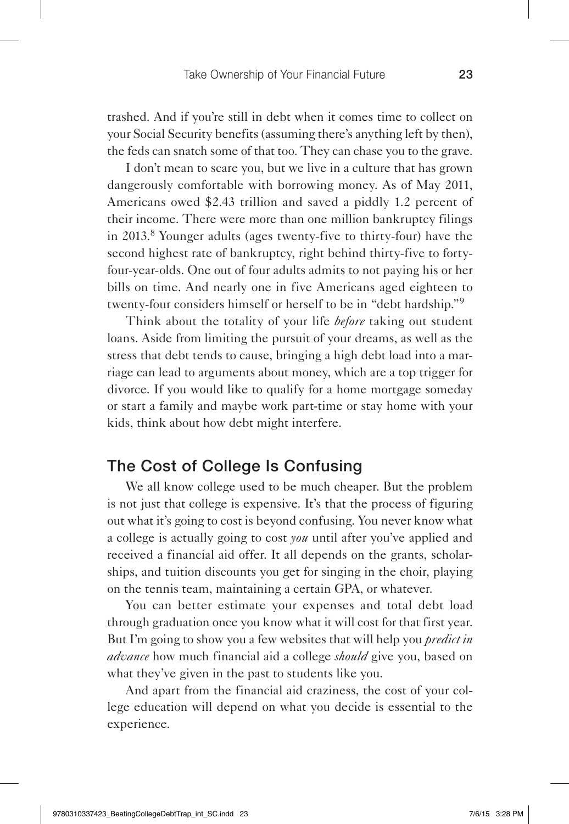trashed. And if you're still in debt when it comes time to collect on your Social Security benefits (assuming there's anything left by then), the feds can snatch some of that too. They can chase you to the grave.

I don't mean to scare you, but we live in a culture that has grown dangerously comfortable with borrowing money. As of May 2011, Americans owed \$2.43 trillion and saved a piddly 1.2 percent of their income. There were more than one million bankruptcy filings in 2013.8 Younger adults (ages twenty-five to thirty-four) have the second highest rate of bankruptcy, right behind thirty-five to fortyfour-year-olds. One out of four adults admits to not paying his or her bills on time. And nearly one in five Americans aged eighteen to twenty-four considers himself or herself to be in "debt hardship."9

Think about the totality of your life *before* taking out student loans. Aside from limiting the pursuit of your dreams, as well as the stress that debt tends to cause, bringing a high debt load into a marriage can lead to arguments about money, which are a top trigger for divorce. If you would like to qualify for a home mortgage someday or start a family and maybe work part-time or stay home with your kids, think about how debt might interfere.

## The Cost of College Is Confusing

We all know college used to be much cheaper. But the problem is not just that college is expensive. It's that the process of figuring out what it's going to cost is beyond confusing. You never know what a college is actually going to cost *you* until after you've applied and received a financial aid offer. It all depends on the grants, scholarships, and tuition discounts you get for singing in the choir, playing on the tennis team, maintaining a certain GPA, or whatever.

You can better estimate your expenses and total debt load through graduation once you know what it will cost for that first year. But I'm going to show you a few websites that will help you *predict in advance* how much financial aid a college *should* give you, based on what they've given in the past to students like you.

And apart from the financial aid craziness, the cost of your college education will depend on what you decide is essential to the experience.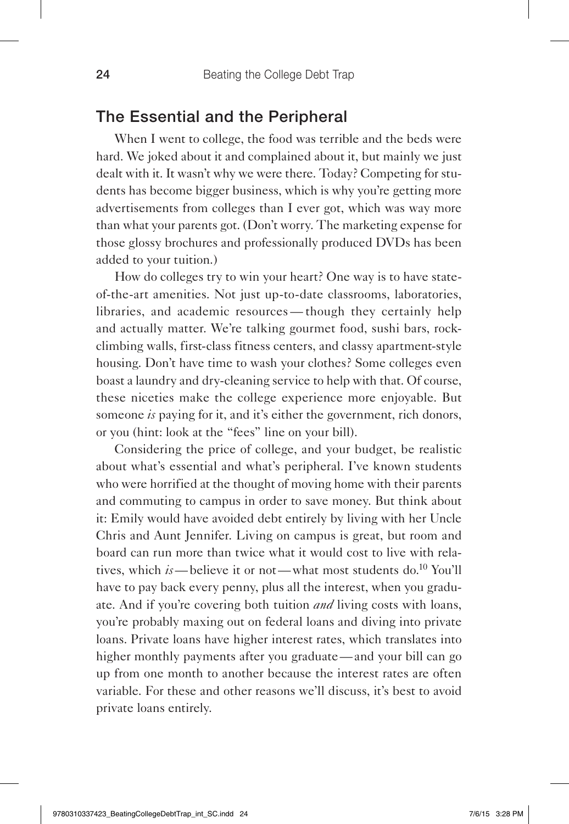#### The Essential and the Peripheral

When I went to college, the food was terrible and the beds were hard. We joked about it and complained about it, but mainly we just dealt with it. It wasn't why we were there. Today? Competing for students has become bigger business, which is why you're getting more advertisements from colleges than I ever got, which was way more than what your parents got. (Don't worry. The marketing expense for those glossy brochures and professionally produced DVDs has been added to your tuition.)

How do colleges try to win your heart? One way is to have stateof-the-art amenities. Not just up-to-date classrooms, laboratories, libraries, and academic resources— though they certainly help and actually matter. We're talking gourmet food, sushi bars, rockclimbing walls, first-class fitness centers, and classy apartment-style housing. Don't have time to wash your clothes? Some colleges even boast a laundry and dry-cleaning service to help with that. Of course, these niceties make the college experience more enjoyable. But someone *is* paying for it, and it's either the government, rich donors, or you (hint: look at the "fees" line on your bill).

Considering the price of college, and your budget, be realistic about what's essential and what's peripheral. I've known students who were horrified at the thought of moving home with their parents and commuting to campus in order to save money. But think about it: Emily would have avoided debt entirely by living with her Uncle Chris and Aunt Jennifer. Living on campus is great, but room and board can run more than twice what it would cost to live with relatives, which *is*— believe it or not— what most students do.10 You'll have to pay back every penny, plus all the interest, when you graduate. And if you're covering both tuition *and* living costs with loans, you're probably maxing out on federal loans and diving into private loans. Private loans have higher interest rates, which translates into higher monthly payments after you graduate— and your bill can go up from one month to another because the interest rates are often variable. For these and other reasons we'll discuss, it's best to avoid private loans entirely.